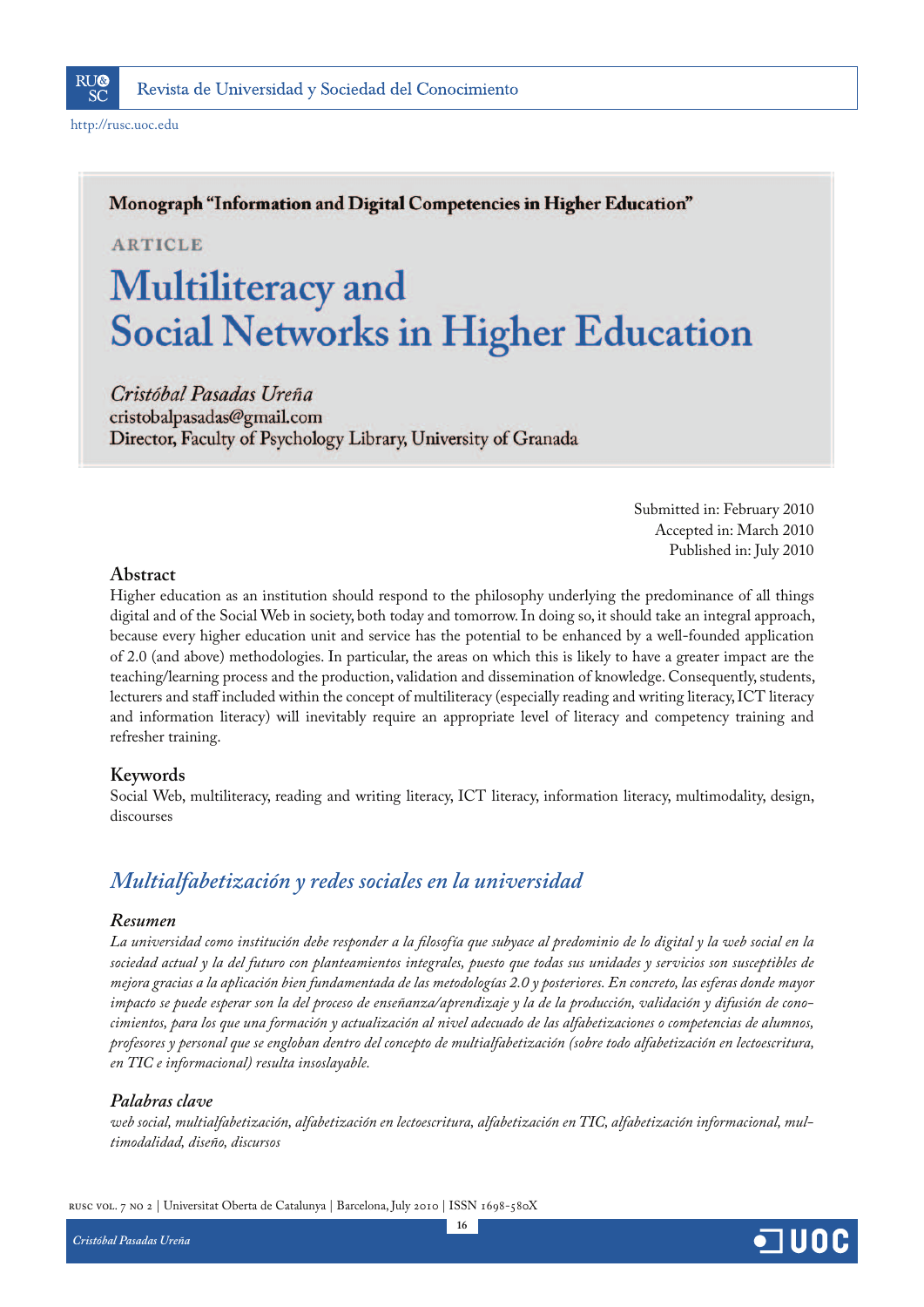

http://rusc.uoc.edu

## Monograph "Information and Digital Competencies in Higher Education"

**ARTICLE** 

# Multiliteracy and **Social Networks in Higher Education**

Cristóbal Pasadas Ureña cristobalpasadas@gmail.com Director, Faculty of Psychology Library, University of Granada

> Submitted in: February 2010 Accepted in: March 2010 Published in: July 2010

## **Abstract**

Higher education as an institution should respond to the philosophy underlying the predominance of all things digital and of the Social Web in society, both today and tomorrow. In doing so, it should take an integral approach, because every higher education unit and service has the potential to be enhanced by a well-founded application of 2.0 (and above) methodologies. In particular, the areas on which this is likely to have a greater impact are the teaching/learning process and the production, validation and dissemination of knowledge. Consequently, students, lecturers and staff included within the concept of multiliteracy (especially reading and writing literacy, ICT literacy and information literacy) will inevitably require an appropriate level of literacy and competency training and refresher training.

## **Keywords**

Social Web, multiliteracy, reading and writing literacy, ICT literacy, information literacy, multimodality, design, discourses

## *Multialfabetización y redes sociales en la universidad*

## *Resumen*

*La universidad como institución debe responder a la filosofía que subyace al predominio de lo digital y la web social en la sociedad actual y la del futuro con planteamientos integrales, puesto que todas sus unidades y servicios son susceptibles de mejora gracias a la aplicación bien fundamentada de las metodologías 2.0 y posteriores. En concreto, las esferas donde mayor impacto se puede esperar son la del proceso de enseñanza/aprendizaje y la de la producción, validación y difusión de conocimientos, para los que una formación y actualización al nivel adecuado de las alfabetizaciones o competencias de alumnos, profesores y personal que se engloban dentro del concepto de multialfabetización (sobre todo alfabetización en lectoescritura, en TIC e informacional) resulta insoslayable.*

## *Palabras clave*

*web social, multialfabetización, alfabetización en lectoescritura, alfabetización en TIC, alfabetización informacional, multimodalidad, diseño, discursos*

rusc vol. 7 no 2 | Universitat Oberta de Catalunya | Barcelona, July 2010 | ISSN 1698-580X

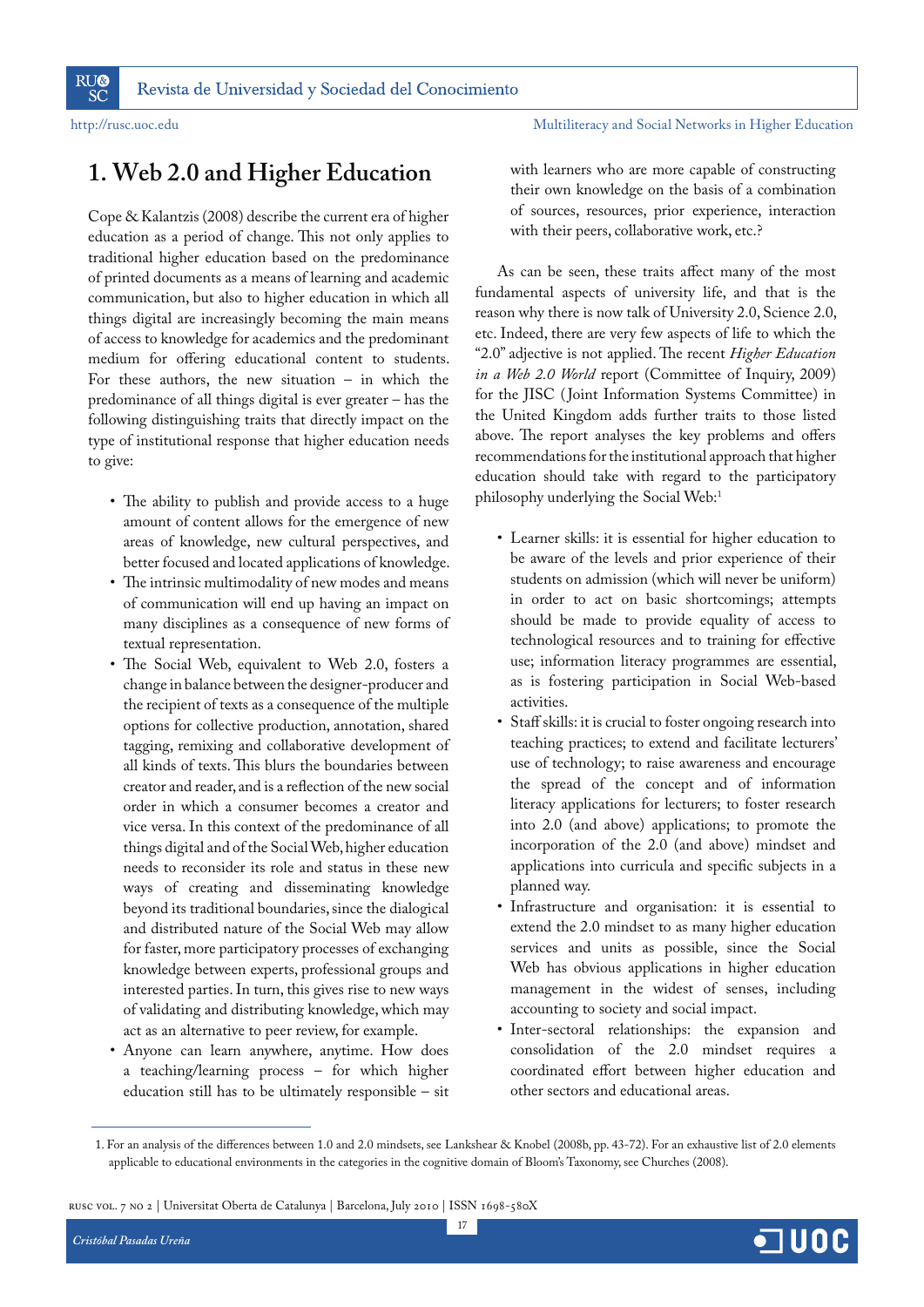## **1. Web 2.0 and Higher Education**

Cope & Kalantzis (2008) describe the current era of higher education as a period of change. This not only applies to traditional higher education based on the predominance of printed documents as a means of learning and academic communication, but also to higher education in which all things digital are increasingly becoming the main means of access to knowledge for academics and the predominant medium for offering educational content to students. For these authors, the new situation – in which the predominance of all things digital is ever greater – has the following distinguishing traits that directly impact on the type of institutional response that higher education needs to give:

- The ability to publish and provide access to a huge amount of content allows for the emergence of new areas of knowledge, new cultural perspectives, and better focused and located applications of knowledge.
- The intrinsic multimodality of new modes and means of communication will end up having an impact on many disciplines as a consequence of new forms of textual representation.
- The Social Web, equivalent to Web 2.0, fosters a change in balance between the designer-producer and the recipient of texts as a consequence of the multiple options for collective production, annotation, shared tagging, remixing and collaborative development of all kinds of texts. This blurs the boundaries between creator and reader, and is a reflection of the new social order in which a consumer becomes a creator and vice versa. In this context of the predominance of all things digital and of the Social Web, higher education needs to reconsider its role and status in these new ways of creating and disseminating knowledge beyond its traditional boundaries, since the dialogical and distributed nature of the Social Web may allow for faster, more participatory processes of exchanging knowledge between experts, professional groups and interested parties. In turn, this gives rise to new ways of validating and distributing knowledge, which may act as an alternative to peer review, for example.
- Anyone can learn anywhere, anytime. How does a teaching/learning process – for which higher education still has to be ultimately responsible – sit

with learners who are more capable of constructing their own knowledge on the basis of a combination of sources, resources, prior experience, interaction with their peers, collaborative work, etc.?

As can be seen, these traits affect many of the most fundamental aspects of university life, and that is the reason why there is now talk of University 2.0, Science 2.0, etc. Indeed, there are very few aspects of life to which the "2.0" adjective is not applied. The recent *Higher Education in a Web 2.0 World* report (Committee of Inquiry, 2009) for the JISC ( Joint Information Systems Committee) in the United Kingdom adds further traits to those listed above. The report analyses the key problems and offers recommendations for the institutional approach that higher education should take with regard to the participatory philosophy underlying the Social Web:1

- Learner skills: it is essential for higher education to be aware of the levels and prior experience of their students on admission (which will never be uniform) in order to act on basic shortcomings; attempts should be made to provide equality of access to technological resources and to training for effective use; information literacy programmes are essential, as is fostering participation in Social Web-based activities.
- Staff skills: it is crucial to foster ongoing research into teaching practices; to extend and facilitate lecturers' use of technology; to raise awareness and encourage the spread of the concept and of information literacy applications for lecturers; to foster research into 2.0 (and above) applications; to promote the incorporation of the 2.0 (and above) mindset and applications into curricula and specific subjects in a planned way.
- Infrastructure and organisation: it is essential to extend the 2.0 mindset to as many higher education services and units as possible, since the Social Web has obvious applications in higher education management in the widest of senses, including accounting to society and social impact.
- Inter-sectoral relationships: the expansion and consolidation of the 2.0 mindset requires a coordinated effort between higher education and other sectors and educational areas.

17

 <sup>1.</sup> For an analysis of the differences between 1.0 and 2.0 mindsets, see Lankshear & Knobel (2008b, pp. 43-72). For an exhaustive list of 2.0 elements applicable to educational environments in the categories in the cognitive domain of Bloom's Taxonomy, see Churches (2008).

rusc vol. 7 no 2 | Universitat Oberta de Catalunya | Barcelona, July 2010 | ISSN 1698-580X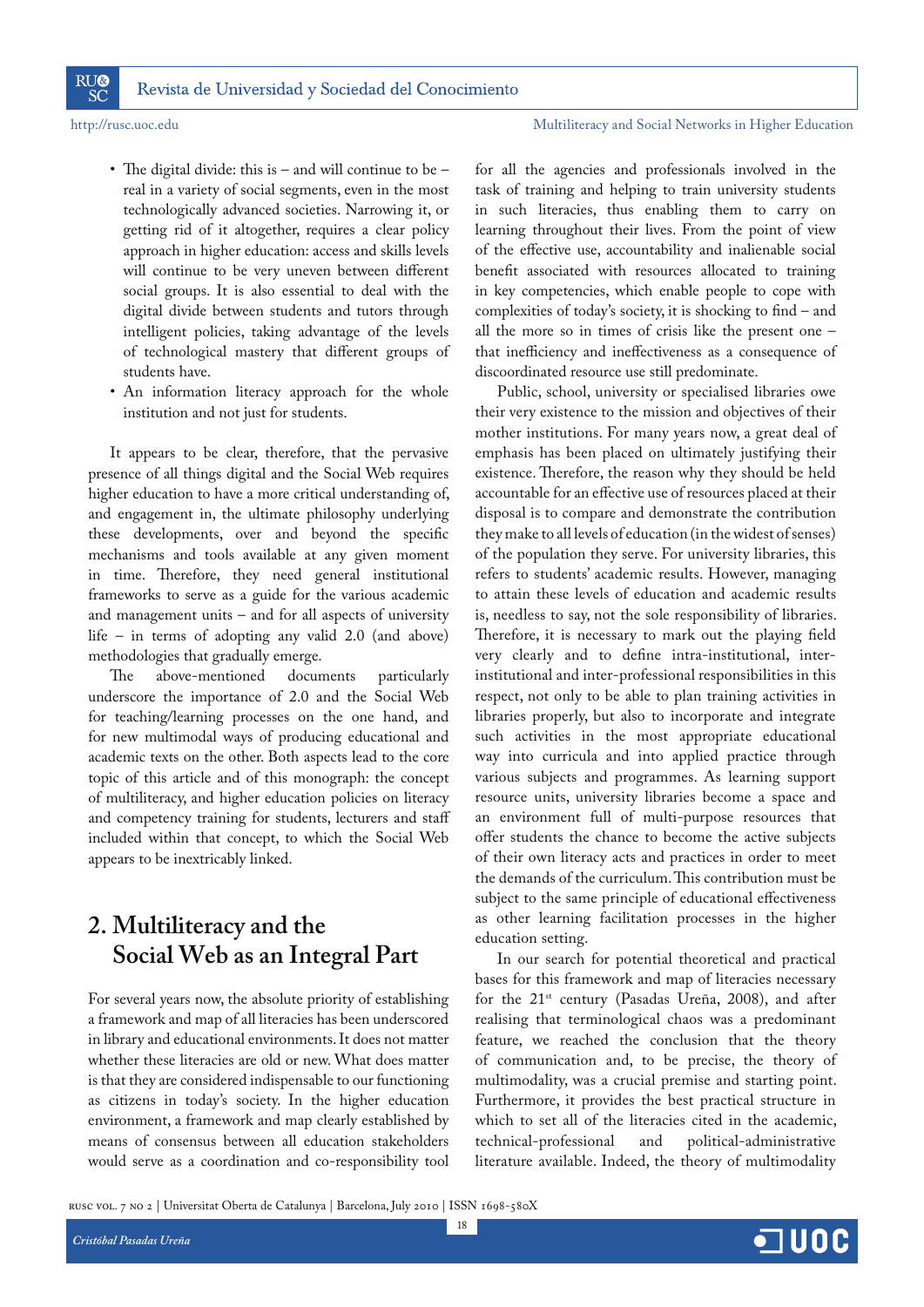**RU®** 

**SC** 

## http://rusc.uoc.edu Multiliteracy and Social Networks in Higher Education

- The digital divide: this is and will continue to be real in a variety of social segments, even in the most technologically advanced societies. Narrowing it, or getting rid of it altogether, requires a clear policy approach in higher education: access and skills levels will continue to be very uneven between different social groups. It is also essential to deal with the digital divide between students and tutors through intelligent policies, taking advantage of the levels of technological mastery that different groups of students have.
- An information literacy approach for the whole institution and not just for students.

It appears to be clear, therefore, that the pervasive presence of all things digital and the Social Web requires higher education to have a more critical understanding of, and engagement in, the ultimate philosophy underlying these developments, over and beyond the specific mechanisms and tools available at any given moment in time. Therefore, they need general institutional frameworks to serve as a guide for the various academic and management units – and for all aspects of university life – in terms of adopting any valid 2.0 (and above) methodologies that gradually emerge.

The above-mentioned documents particularly underscore the importance of 2.0 and the Social Web for teaching/learning processes on the one hand, and for new multimodal ways of producing educational and academic texts on the other. Both aspects lead to the core topic of this article and of this monograph: the concept of multiliteracy, and higher education policies on literacy and competency training for students, lecturers and staff included within that concept, to which the Social Web appears to be inextricably linked.

## **2. Multiliteracy and the Social Web as an Integral Part**

For several years now, the absolute priority of establishing a framework and map of all literacies has been underscored in library and educational environments. It does not matter whether these literacies are old or new. What does matter is that they are considered indispensable to our functioning as citizens in today's society. In the higher education environment, a framework and map clearly established by means of consensus between all education stakeholders would serve as a coordination and co-responsibility tool

for all the agencies and professionals involved in the task of training and helping to train university students in such literacies, thus enabling them to carry on learning throughout their lives. From the point of view of the effective use, accountability and inalienable social benefit associated with resources allocated to training in key competencies, which enable people to cope with complexities of today's society, it is shocking to find – and all the more so in times of crisis like the present one – that inefficiency and ineffectiveness as a consequence of discoordinated resource use still predominate.

Public, school, university or specialised libraries owe their very existence to the mission and objectives of their mother institutions. For many years now, a great deal of emphasis has been placed on ultimately justifying their existence. Therefore, the reason why they should be held accountable for an effective use of resources placed at their disposal is to compare and demonstrate the contribution they make to all levels of education (in the widest of senses) of the population they serve. For university libraries, this refers to students' academic results. However, managing to attain these levels of education and academic results is, needless to say, not the sole responsibility of libraries. Therefore, it is necessary to mark out the playing field very clearly and to define intra-institutional, interinstitutional and inter-professional responsibilities in this respect, not only to be able to plan training activities in libraries properly, but also to incorporate and integrate such activities in the most appropriate educational way into curricula and into applied practice through various subjects and programmes. As learning support resource units, university libraries become a space and an environment full of multi-purpose resources that offer students the chance to become the active subjects of their own literacy acts and practices in order to meet the demands of the curriculum. This contribution must be subject to the same principle of educational effectiveness as other learning facilitation processes in the higher education setting.

In our search for potential theoretical and practical bases for this framework and map of literacies necessary for the  $21^{st}$  century (Pasadas Ureña, 2008), and after realising that terminological chaos was a predominant feature, we reached the conclusion that the theory of communication and, to be precise, the theory of multimodality, was a crucial premise and starting point. Furthermore, it provides the best practical structure in which to set all of the literacies cited in the academic, technical-professional and political-administrative literature available. Indeed, the theory of multimodality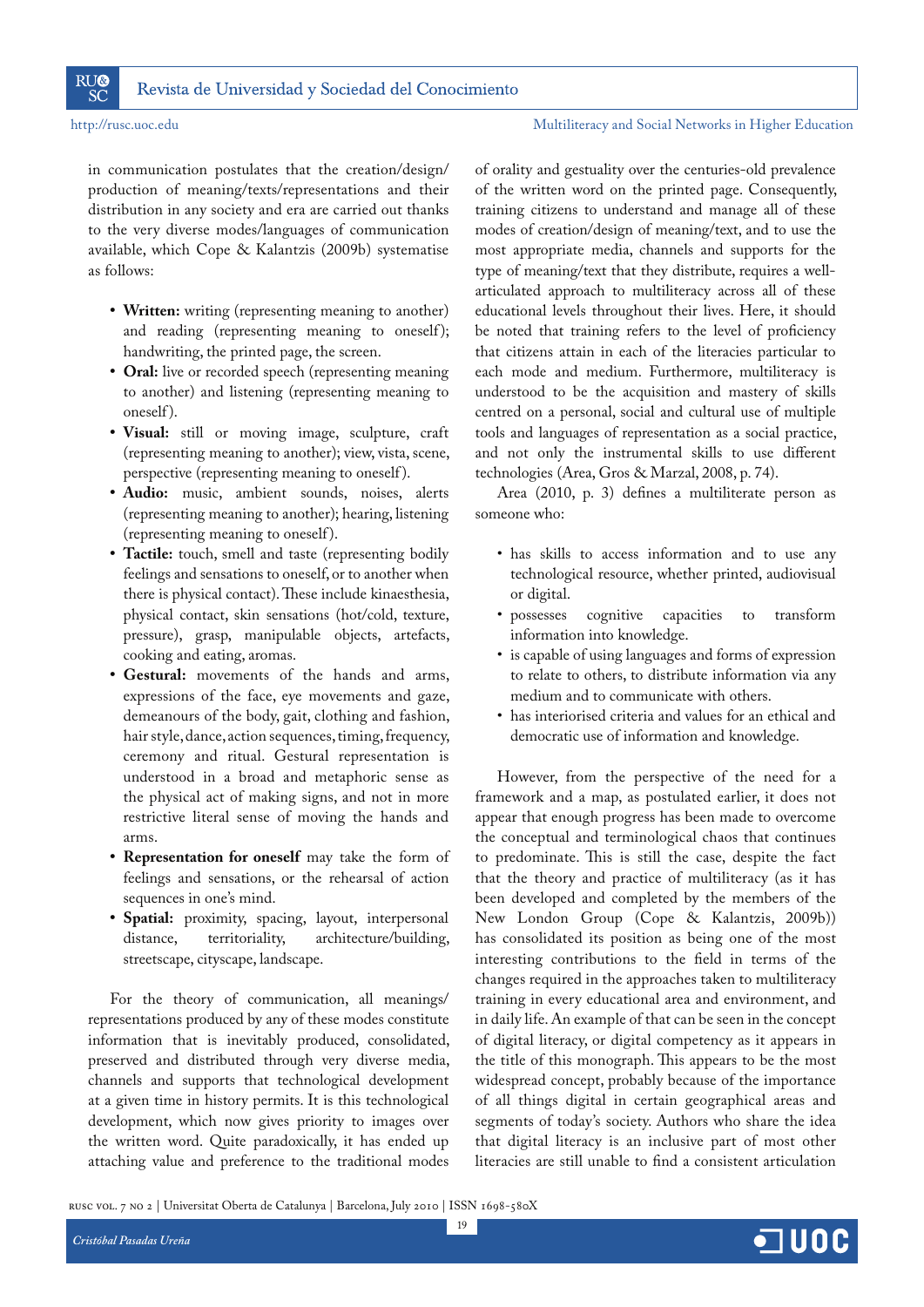

in communication postulates that the creation/design/ production of meaning/texts/representations and their distribution in any society and era are carried out thanks to the very diverse modes/languages of communication available, which Cope & Kalantzis (2009b) systematise as follows:

- **R5 Written:** writing (representing meaning to another) and reading (representing meaning to oneself); handwriting, the printed page, the screen.
- **R5 Oral:** live or recorded speech (representing meaning to another) and listening (representing meaning to oneself ).
- **R5 Visual:** still or moving image, sculpture, craft (representing meaning to another); view, vista, scene, perspective (representing meaning to oneself ).
- Audio: music, ambient sounds, noises, alerts (representing meaning to another); hearing, listening (representing meaning to oneself ).
- Tactile: touch, smell and taste (representing bodily feelings and sensations to oneself, or to another when there is physical contact). These include kinaesthesia, physical contact, skin sensations (hot/cold, texture, pressure), grasp, manipulable objects, artefacts, cooking and eating, aromas.
- **R5 Gestural:** movements of the hands and arms, expressions of the face, eye movements and gaze, demeanours of the body, gait, clothing and fashion, hair style, dance, action sequences, timing, frequency, ceremony and ritual. Gestural representation is understood in a broad and metaphoric sense as the physical act of making signs, and not in more restrictive literal sense of moving the hands and arms.
- **Representation for oneself** may take the form of feelings and sensations, or the rehearsal of action sequences in one's mind.
- **Spatial:** proximity, spacing, layout, interpersonal distance, territoriality, architecture/building, streetscape, cityscape, landscape.

For the theory of communication, all meanings/ representations produced by any of these modes constitute information that is inevitably produced, consolidated, preserved and distributed through very diverse media, channels and supports that technological development at a given time in history permits. It is this technological development, which now gives priority to images over the written word. Quite paradoxically, it has ended up attaching value and preference to the traditional modes

of orality and gestuality over the centuries-old prevalence of the written word on the printed page. Consequently, training citizens to understand and manage all of these modes of creation/design of meaning/text, and to use the most appropriate media, channels and supports for the type of meaning/text that they distribute, requires a wellarticulated approach to multiliteracy across all of these educational levels throughout their lives. Here, it should be noted that training refers to the level of proficiency that citizens attain in each of the literacies particular to each mode and medium. Furthermore, multiliteracy is understood to be the acquisition and mastery of skills centred on a personal, social and cultural use of multiple tools and languages of representation as a social practice, and not only the instrumental skills to use different technologies (Area, Gros & Marzal, 2008, p. 74).

Area (2010, p. 3) defines a multiliterate person as someone who:

- has skills to access information and to use any technological resource, whether printed, audiovisual or digital.
- R5 possesses cognitive capacities to transform information into knowledge.
- is capable of using languages and forms of expression to relate to others, to distribute information via any medium and to communicate with others.
- R5 has interiorised criteria and values for an ethical and democratic use of information and knowledge.

However, from the perspective of the need for a framework and a map, as postulated earlier, it does not appear that enough progress has been made to overcome the conceptual and terminological chaos that continues to predominate. This is still the case, despite the fact that the theory and practice of multiliteracy (as it has been developed and completed by the members of the New London Group (Cope & Kalantzis, 2009b)) has consolidated its position as being one of the most interesting contributions to the field in terms of the changes required in the approaches taken to multiliteracy training in every educational area and environment, and in daily life. An example of that can be seen in the concept of digital literacy, or digital competency as it appears in the title of this monograph. This appears to be the most widespread concept, probably because of the importance of all things digital in certain geographical areas and segments of today's society. Authors who share the idea that digital literacy is an inclusive part of most other literacies are still unable to find a consistent articulation

rusc vol. 7 no 2 | Universitat Oberta de Catalunya | Barcelona, July 2010 | ISSN 1698-580X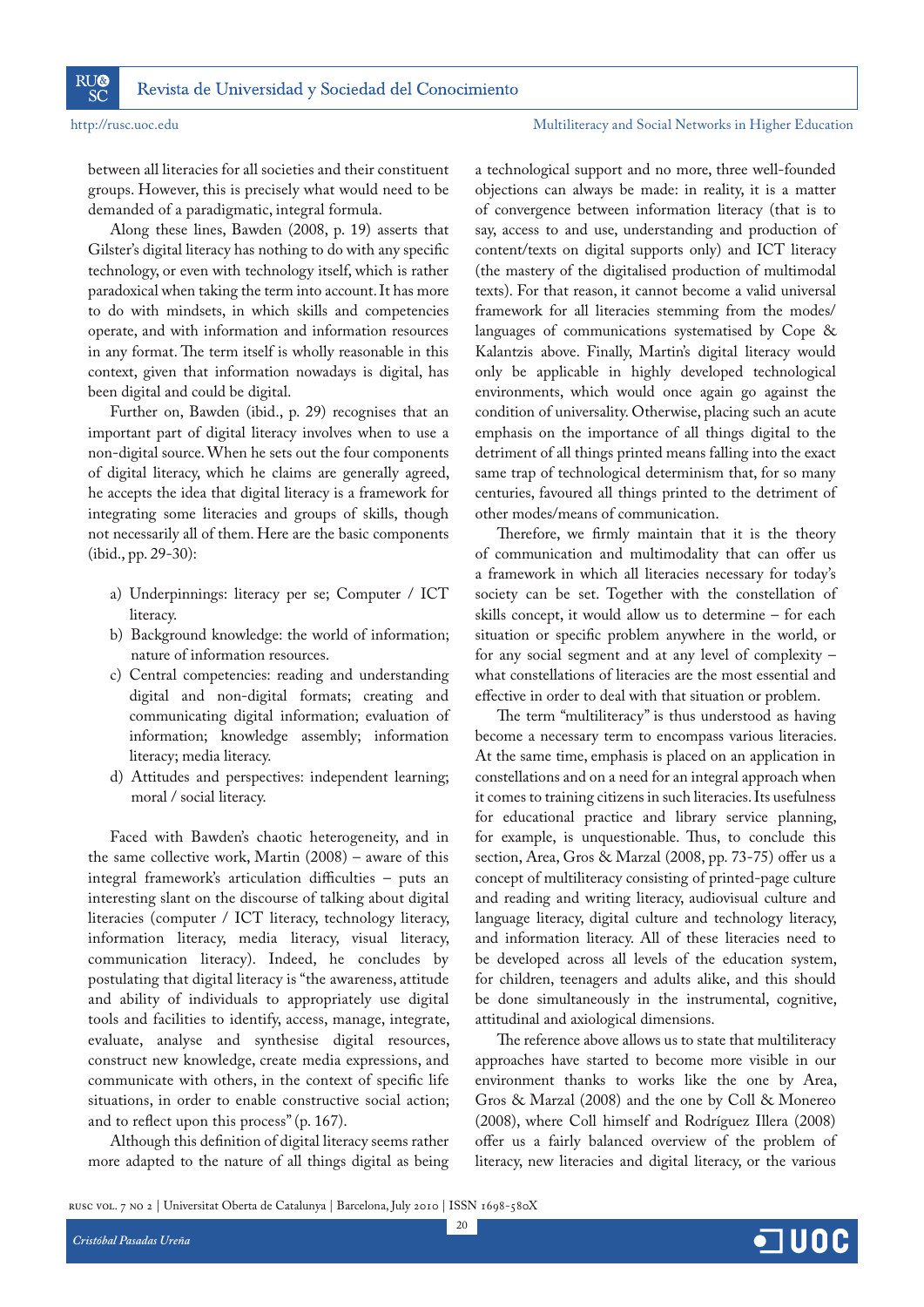between all literacies for all societies and their constituent groups. However, this is precisely what would need to be demanded of a paradigmatic, integral formula.

Along these lines, Bawden (2008, p. 19) asserts that Gilster's digital literacy has nothing to do with any specific technology, or even with technology itself, which is rather paradoxical when taking the term into account. It has more to do with mindsets, in which skills and competencies operate, and with information and information resources in any format. The term itself is wholly reasonable in this context, given that information nowadays is digital, has been digital and could be digital.

Further on, Bawden (ibid., p. 29) recognises that an important part of digital literacy involves when to use a non-digital source. When he sets out the four components of digital literacy, which he claims are generally agreed, he accepts the idea that digital literacy is a framework for integrating some literacies and groups of skills, though not necessarily all of them. Here are the basic components (ibid., pp. 29-30):

- a) Underpinnings: literacy per se; Computer / ICT literacy.
- b) Background knowledge: the world of information; nature of information resources.
- c) Central competencies: reading and understanding digital and non-digital formats; creating and communicating digital information; evaluation of information; knowledge assembly; information literacy; media literacy.
- d) Attitudes and perspectives: independent learning; moral / social literacy.

Faced with Bawden's chaotic heterogeneity, and in the same collective work, Martin (2008) – aware of this integral framework's articulation difficulties – puts an interesting slant on the discourse of talking about digital literacies (computer / ICT literacy, technology literacy, information literacy, media literacy, visual literacy, communication literacy). Indeed, he concludes by postulating that digital literacy is "the awareness, attitude and ability of individuals to appropriately use digital tools and facilities to identify, access, manage, integrate, evaluate, analyse and synthesise digital resources, construct new knowledge, create media expressions, and communicate with others, in the context of specific life situations, in order to enable constructive social action; and to reflect upon this process" (p. 167).

Although this definition of digital literacy seems rather more adapted to the nature of all things digital as being a technological support and no more, three well-founded objections can always be made: in reality, it is a matter of convergence between information literacy (that is to say, access to and use, understanding and production of content/texts on digital supports only) and ICT literacy (the mastery of the digitalised production of multimodal texts). For that reason, it cannot become a valid universal framework for all literacies stemming from the modes/ languages of communications systematised by Cope & Kalantzis above. Finally, Martin's digital literacy would only be applicable in highly developed technological environments, which would once again go against the condition of universality. Otherwise, placing such an acute emphasis on the importance of all things digital to the detriment of all things printed means falling into the exact same trap of technological determinism that, for so many centuries, favoured all things printed to the detriment of other modes/means of communication.

Therefore, we firmly maintain that it is the theory of communication and multimodality that can offer us a framework in which all literacies necessary for today's society can be set. Together with the constellation of skills concept, it would allow us to determine – for each situation or specific problem anywhere in the world, or for any social segment and at any level of complexity – what constellations of literacies are the most essential and effective in order to deal with that situation or problem.

The term "multiliteracy" is thus understood as having become a necessary term to encompass various literacies. At the same time, emphasis is placed on an application in constellations and on a need for an integral approach when it comes to training citizens in such literacies. Its usefulness for educational practice and library service planning, for example, is unquestionable. Thus, to conclude this section, Area, Gros & Marzal (2008, pp. 73-75) offer us a concept of multiliteracy consisting of printed-page culture and reading and writing literacy, audiovisual culture and language literacy, digital culture and technology literacy, and information literacy. All of these literacies need to be developed across all levels of the education system, for children, teenagers and adults alike, and this should be done simultaneously in the instrumental, cognitive, attitudinal and axiological dimensions.

The reference above allows us to state that multiliteracy approaches have started to become more visible in our environment thanks to works like the one by Area, Gros & Marzal (2008) and the one by Coll & Monereo (2008), where Coll himself and Rodríguez Illera (2008) offer us a fairly balanced overview of the problem of literacy, new literacies and digital literacy, or the various

rusc vol. 7 no 2 | Universitat Oberta de Catalunya | Barcelona, July 2010 | ISSN 1698-580X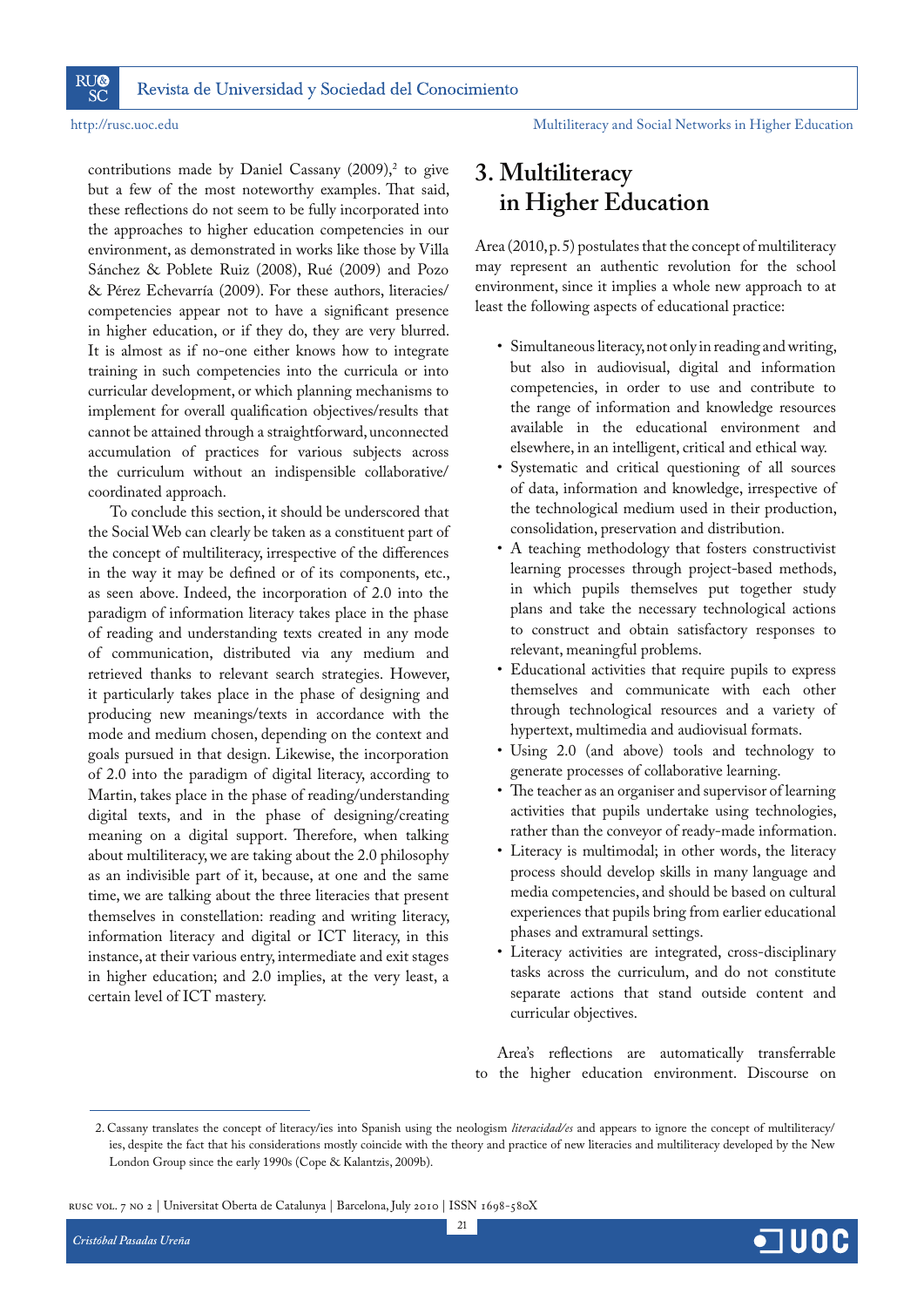contributions made by Daniel Cassany  $(2009),^2$  to give but a few of the most noteworthy examples. That said, these reflections do not seem to be fully incorporated into the approaches to higher education competencies in our environment, as demonstrated in works like those by Villa Sánchez & Poblete Ruiz (2008), Rué (2009) and Pozo & Pérez Echevarría (2009). For these authors, literacies/ competencies appear not to have a significant presence in higher education, or if they do, they are very blurred. It is almost as if no-one either knows how to integrate training in such competencies into the curricula or into curricular development, or which planning mechanisms to implement for overall qualification objectives/results that cannot be attained through a straightforward, unconnected accumulation of practices for various subjects across the curriculum without an indispensible collaborative/ coordinated approach.

To conclude this section, it should be underscored that the Social Web can clearly be taken as a constituent part of the concept of multiliteracy, irrespective of the differences in the way it may be defined or of its components, etc., as seen above. Indeed, the incorporation of 2.0 into the paradigm of information literacy takes place in the phase of reading and understanding texts created in any mode of communication, distributed via any medium and retrieved thanks to relevant search strategies. However, it particularly takes place in the phase of designing and producing new meanings/texts in accordance with the mode and medium chosen, depending on the context and goals pursued in that design. Likewise, the incorporation of 2.0 into the paradigm of digital literacy, according to Martin, takes place in the phase of reading/understanding digital texts, and in the phase of designing/creating meaning on a digital support. Therefore, when talking about multiliteracy, we are taking about the 2.0 philosophy as an indivisible part of it, because, at one and the same time, we are talking about the three literacies that present themselves in constellation: reading and writing literacy, information literacy and digital or ICT literacy, in this instance, at their various entry, intermediate and exit stages in higher education; and 2.0 implies, at the very least, a certain level of ICT mastery.

## **3. Multiliteracy in Higher Education**

Area (2010, p. 5) postulates that the concept of multiliteracy may represent an authentic revolution for the school environment, since it implies a whole new approach to at least the following aspects of educational practice:

- R5 Simultaneous literacy, not only in reading and writing, but also in audiovisual, digital and information competencies, in order to use and contribute to the range of information and knowledge resources available in the educational environment and elsewhere, in an intelligent, critical and ethical way.
- Systematic and critical questioning of all sources of data, information and knowledge, irrespective of the technological medium used in their production, consolidation, preservation and distribution.
- A teaching methodology that fosters constructivist learning processes through project-based methods, in which pupils themselves put together study plans and take the necessary technological actions to construct and obtain satisfactory responses to relevant, meaningful problems.
- Educational activities that require pupils to express themselves and communicate with each other through technological resources and a variety of hypertext, multimedia and audiovisual formats.
- Using 2.0 (and above) tools and technology to generate processes of collaborative learning.
- The teacher as an organiser and supervisor of learning activities that pupils undertake using technologies, rather than the conveyor of ready-made information.
- Literacy is multimodal; in other words, the literacy process should develop skills in many language and media competencies, and should be based on cultural experiences that pupils bring from earlier educational phases and extramural settings.
- Literacy activities are integrated, cross-disciplinary tasks across the curriculum, and do not constitute separate actions that stand outside content and curricular objectives.

Area's reflections are automatically transferrable to the higher education environment. Discourse on

rusc vol. 7 no 2 | Universitat Oberta de Catalunya | Barcelona, July 2010 | ISSN 1698-580X



 <sup>2.</sup> Cassany translates the concept of literacy/ies into Spanish using the neologism *literacidad/es* and appears to ignore the concept of multiliteracy/ ies, despite the fact that his considerations mostly coincide with the theory and practice of new literacies and multiliteracy developed by the New London Group since the early 1990s (Cope & Kalantzis, 2009b).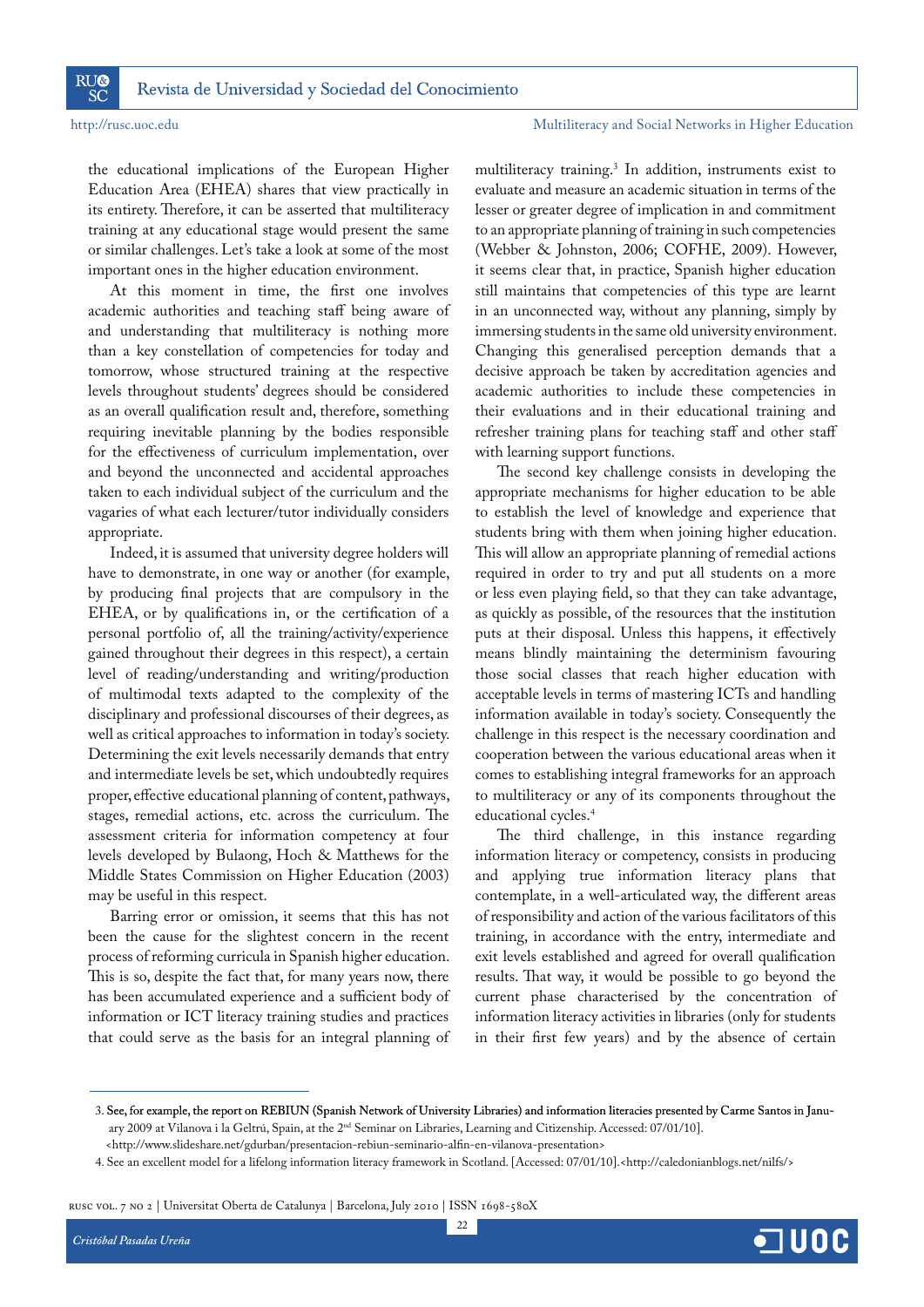the educational implications of the European Higher Education Area (EHEA) shares that view practically in its entirety. Therefore, it can be asserted that multiliteracy training at any educational stage would present the same or similar challenges. Let's take a look at some of the most important ones in the higher education environment.

At this moment in time, the first one involves academic authorities and teaching staff being aware of and understanding that multiliteracy is nothing more than a key constellation of competencies for today and tomorrow, whose structured training at the respective levels throughout students' degrees should be considered as an overall qualification result and, therefore, something requiring inevitable planning by the bodies responsible for the effectiveness of curriculum implementation, over and beyond the unconnected and accidental approaches taken to each individual subject of the curriculum and the vagaries of what each lecturer/tutor individually considers appropriate.

Indeed, it is assumed that university degree holders will have to demonstrate, in one way or another (for example, by producing final projects that are compulsory in the EHEA, or by qualifications in, or the certification of a personal portfolio of, all the training/activity/experience gained throughout their degrees in this respect), a certain level of reading/understanding and writing/production of multimodal texts adapted to the complexity of the disciplinary and professional discourses of their degrees, as well as critical approaches to information in today's society. Determining the exit levels necessarily demands that entry and intermediate levels be set, which undoubtedly requires proper, effective educational planning of content, pathways, stages, remedial actions, etc. across the curriculum. The assessment criteria for information competency at four levels developed by Bulaong, Hoch & Matthews for the Middle States Commission on Higher Education (2003) may be useful in this respect.

Barring error or omission, it seems that this has not been the cause for the slightest concern in the recent process of reforming curricula in Spanish higher education. This is so, despite the fact that, for many years now, there has been accumulated experience and a sufficient body of information or ICT literacy training studies and practices that could serve as the basis for an integral planning of

multiliteracy training.3 In addition, instruments exist to evaluate and measure an academic situation in terms of the lesser or greater degree of implication in and commitment to an appropriate planning of training in such competencies (Webber & Johnston, 2006; COFHE, 2009). However, it seems clear that, in practice, Spanish higher education still maintains that competencies of this type are learnt in an unconnected way, without any planning, simply by immersing students in the same old university environment. Changing this generalised perception demands that a decisive approach be taken by accreditation agencies and academic authorities to include these competencies in their evaluations and in their educational training and refresher training plans for teaching staff and other staff with learning support functions.

The second key challenge consists in developing the appropriate mechanisms for higher education to be able to establish the level of knowledge and experience that students bring with them when joining higher education. This will allow an appropriate planning of remedial actions required in order to try and put all students on a more or less even playing field, so that they can take advantage, as quickly as possible, of the resources that the institution puts at their disposal. Unless this happens, it effectively means blindly maintaining the determinism favouring those social classes that reach higher education with acceptable levels in terms of mastering ICTs and handling information available in today's society. Consequently the challenge in this respect is the necessary coordination and cooperation between the various educational areas when it comes to establishing integral frameworks for an approach to multiliteracy or any of its components throughout the educational cycles.4

The third challenge, in this instance regarding information literacy or competency, consists in producing and applying true information literacy plans that contemplate, in a well-articulated way, the different areas of responsibility and action of the various facilitators of this training, in accordance with the entry, intermediate and exit levels established and agreed for overall qualification results. That way, it would be possible to go beyond the current phase characterised by the concentration of information literacy activities in libraries (only for students in their first few years) and by the absence of certain

rusc vol. 7 no 2 | Universitat Oberta de Catalunya | Barcelona, July 2010 | ISSN 1698-580X



 <sup>3.</sup> See, for example, the report on REBIUN (Spanish Network of University Libraries) and information literacies presented by Carme Santos in Janu- January 2009 at Vilanova i la Geltrú, Spain, at the 2nd Seminar on Libraries, Learning and Citizenship. Accessed: 07/01/10].

<sup>&</sup>lt;http://www.slideshare.net/gdurban/presentacion-rebiun-seminario-alfin-en-vilanova-presentation>

 <sup>4.</sup> See an excellent model for a lifelong information literacy framework in Scotland. [Accessed: 07/01/10].<http://caledonianblogs.net/nilfs/>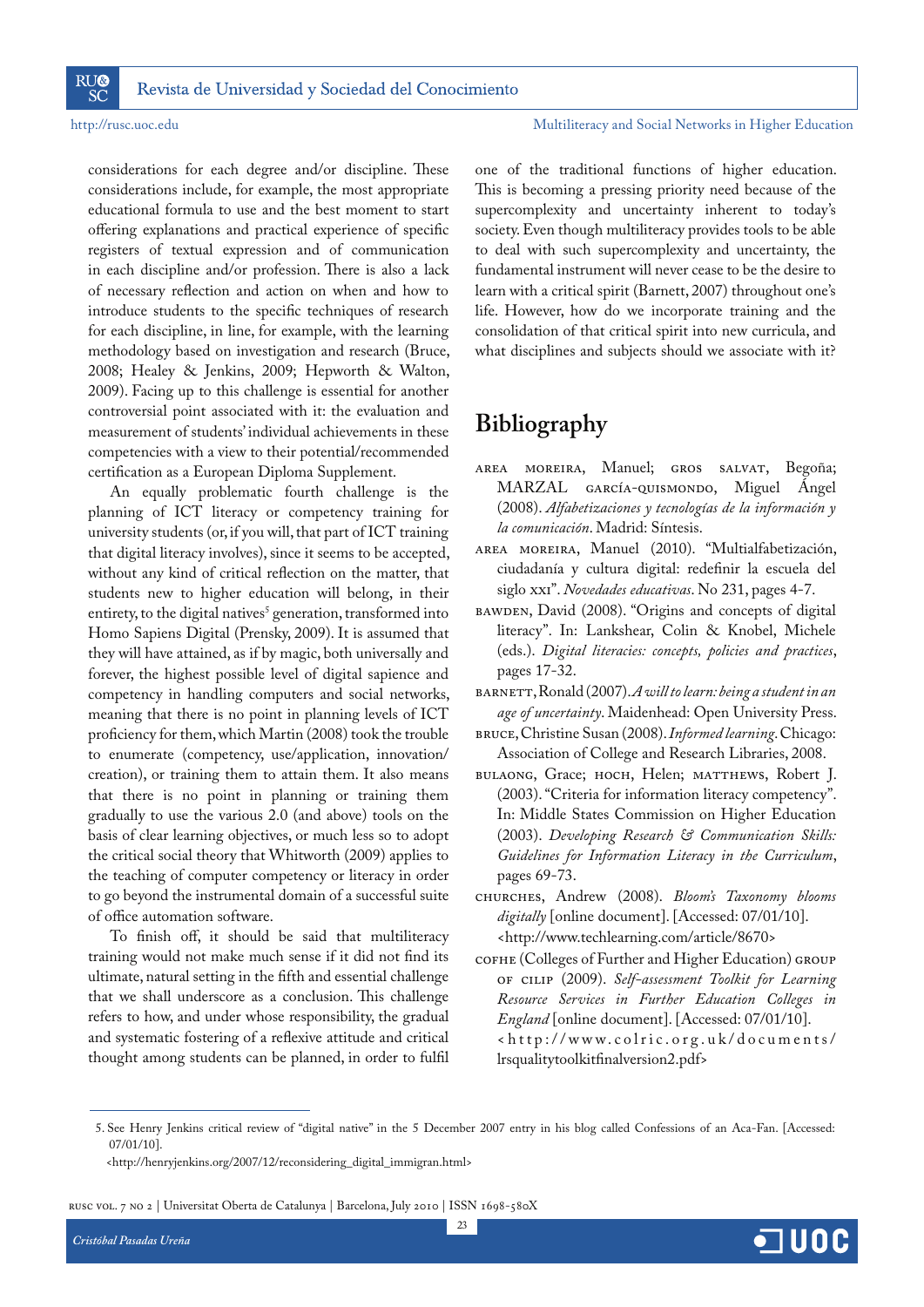**RU® SC** 

## http://rusc.uoc.edu Multiliteracy and Social Networks in Higher Education

considerations for each degree and/or discipline. These considerations include, for example, the most appropriate educational formula to use and the best moment to start offering explanations and practical experience of specific registers of textual expression and of communication in each discipline and/or profession. There is also a lack of necessary reflection and action on when and how to introduce students to the specific techniques of research for each discipline, in line, for example, with the learning methodology based on investigation and research (Bruce, 2008; Healey & Jenkins, 2009; Hepworth & Walton, 2009). Facing up to this challenge is essential for another controversial point associated with it: the evaluation and measurement of students' individual achievements in these competencies with a view to their potential/recommended certification as a European Diploma Supplement.

An equally problematic fourth challenge is the planning of ICT literacy or competency training for university students (or, if you will, that part of ICT training that digital literacy involves), since it seems to be accepted, without any kind of critical reflection on the matter, that students new to higher education will belong, in their entirety, to the digital natives<sup>5</sup> generation, transformed into Homo Sapiens Digital (Prensky, 2009). It is assumed that they will have attained, as if by magic, both universally and forever, the highest possible level of digital sapience and competency in handling computers and social networks, meaning that there is no point in planning levels of ICT proficiency for them, which Martin (2008) took the trouble to enumerate (competency, use/application, innovation/ creation), or training them to attain them. It also means that there is no point in planning or training them gradually to use the various 2.0 (and above) tools on the basis of clear learning objectives, or much less so to adopt the critical social theory that Whitworth (2009) applies to the teaching of computer competency or literacy in order to go beyond the instrumental domain of a successful suite of office automation software.

To finish off, it should be said that multiliteracy training would not make much sense if it did not find its ultimate, natural setting in the fifth and essential challenge that we shall underscore as a conclusion. This challenge refers to how, and under whose responsibility, the gradual and systematic fostering of a reflexive attitude and critical thought among students can be planned, in order to fulfil one of the traditional functions of higher education. This is becoming a pressing priority need because of the supercomplexity and uncertainty inherent to today's society. Even though multiliteracy provides tools to be able to deal with such supercomplexity and uncertainty, the fundamental instrument will never cease to be the desire to learn with a critical spirit (Barnett, 2007) throughout one's life. However, how do we incorporate training and the consolidation of that critical spirit into new curricula, and what disciplines and subjects should we associate with it?

## **Bibliography**

- AREA MOREIRA, Manuel; GROS SALVAT, Begoña; MARZAL GARCÍA-QUISMONDO, Miguel Ángel (2008). *Alfabetizaciones y tecnologías de la información y la comunicación*. Madrid: Síntesis.
- AREA MOREIRA, Manuel (2010). "Multialfabetización, ciudadanía y cultura digital: redefinir la escuela del siglo xxi". *Novedades educativas*. No 231, pages 4-7.
- BAWDEN, David (2008). "Origins and concepts of digital literacy". In: Lankshear, Colin & Knobel, Michele (eds.). *Digital literacies: concepts, policies and practices*, pages 17-32.
- BARNETT, Ronald (2007). *A will to learn: being a student in an age of uncertainty*. Maidenhead: Open University Press.
- BRUCE, Christine Susan (2008). *Informed learning*. Chicago: Association of College and Research Libraries, 2008.
- BULAONG, Grace; HOCH, Helen; MATTHEWS, Robert J. (2003). "Criteria for information literacy competency". In: Middle States Commission on Higher Education (2003). *Developing Research & Communication Skills: Guidelines for Information Literacy in the Curriculum*, pages 69-73.
- CHURCHES, Andrew (2008). *Bloom's Taxonomy blooms digitally* [online document]. [Accessed: 07/01/10]. <http://www.techlearning.com/article/8670>
- COFHE (Colleges of Further and Higher Education) GROUP OF CILIP (2009). *Self-assessment Toolkit for Learning Resource Services in Further Education Colleges in England* [online document]. [Accessed: 07/01/10]. <http://www.colric.org.uk/documents/ lrsqualitytoolkitfinalversion2.pdf>



 <sup>5.</sup> See Henry Jenkins critical review of "digital native" in the 5 December 2007 entry in his blog called Confessions of an Aca-Fan. [Accessed: 07/01/10].

<sup>&</sup>lt;http://henryjenkins.org/2007/12/reconsidering\_digital\_immigran.html>

rusc vol. 7 no 2 | Universitat Oberta de Catalunya | Barcelona, July 2010 | ISSN 1698-580X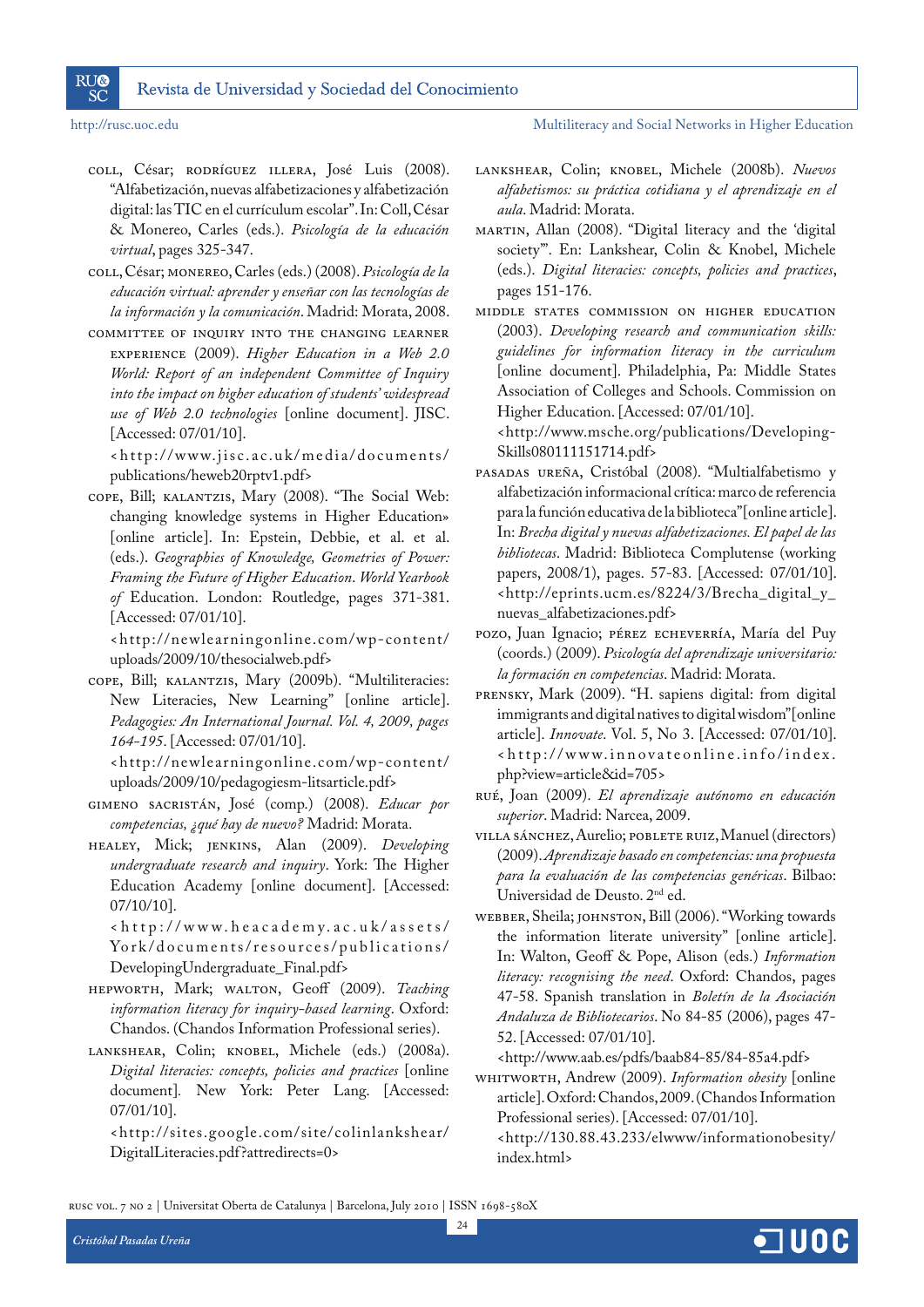**RU® SC** 

http://rusc.uoc.edu Multiliteracy and Social Networks in Higher Education

- COLL, César; RODRÍGUEZ ILLERA, José Luis (2008). "Alfabetización, nuevas alfabetizaciones y alfabetización digital: las TIC en el currículum escolar". In: Coll, César & Monereo, Carles (eds.). *Psicología de la educación virtual*, pages 325-347.
- COLL, César; MONEREO, Carles (eds.) (2008). *Psicología de la educación virtual: aprender y enseñar con las tecnologías de la información y la comunicación*. Madrid: Morata, 2008.
- COMMITTEE OF INQUIRY INTO THE CHANGING LEARNER EXPERIENCE (2009). *Higher Education in a Web 2.0 World: Report of an independent Committee of Inquiry into the impact on higher education of students' widespread use of Web 2.0 technologies* [online document]. JISC. [Accessed: 07/01/10].

<http://www.jisc.ac.uk/media/documents/ publications/heweb20rptv1.pdf>

COPE, Bill; KALANTZIS, Mary (2008). "The Social Web: changing knowledge systems in Higher Education» [online article]. In: Epstein, Debbie, et al. et al. (eds.). *Geographies of Knowledge, Geometries of Power: Framing the Future of Higher Education*. *World Yearbook of* Education. London: Routledge, pages 371-381. [Accessed: 07/01/10].

<http://newlearningonline.com/wp-content/ uploads/2009/10/thesocialweb.pdf>

COPE, Bill; KALANTZIS, Mary (2009b). "Multiliteracies: New Literacies, New Learning" [online article]. *Pedagogies: An International Journal. Vol. 4, 2009, pages 164-195*. [Accessed: 07/01/10].

<http://newlearningonline.com/wp-content/ uploads/2009/10/pedagogiesm-litsarticle.pdf>

- GIMENO SACRISTÁN, José (comp.) (2008). *Educar por competencias, ¿qué hay de nuevo?* Madrid: Morata.
- HEALEY, Mick; JENKINS, Alan (2009). *Developing undergraduate research and inquiry*. York: The Higher Education Academy [online document]. [Accessed: 07/10/10].

<http://www.heacademy.ac.uk/assets/ York/documents/resources/publications/ DevelopingUndergraduate\_Final.pdf>

- HEPWORTH, Mark; WALTON, Geoff (2009). *Teaching information literacy for inquiry-based learning*. Oxford: Chandos. (Chandos Information Professional series).
- LANKSHEAR, Colin; KNOBEL, Michele (eds.) (2008a). *Digital literacies: concepts, policies and practices* [online document]*.* New York: Peter Lang. [Accessed: 07/01/10].

<http://sites.google.com/site/colinlankshear/ DigitalLiteracies.pdf?attredirects=0>

- LANKSHEAR, Colin; KNOBEL, Michele (2008b). *Nuevos alfabetismos: su práctica cotidiana y el aprendizaje en el aula*. Madrid: Morata.
- MARTIN, Allan (2008). "Digital literacy and the 'digital society'". En: Lankshear, Colin & Knobel, Michele (eds.). *Digital literacies: concepts, policies and practices*, pages 151-176.

MIDDLE STATES COMMISSION ON HIGHER EDUCATION (2003). *Developing research and communication skills: guidelines for information literacy in the curriculum*  [online document]. Philadelphia, Pa: Middle States Association of Colleges and Schools. Commission on Higher Education. [Accessed: 07/01/10]. <http://www.msche.org/publications/Developing-

Skills080111151714.pdf>

- PASADAS UREÑA, Cristóbal (2008). "Multialfabetismo y alfabetización informacional crítica: marco de referencia para la función educativa de la biblioteca" [online article]. In: *Brecha digital y nuevas alfabetizaciones. El papel de las bibliotecas*. Madrid: Biblioteca Complutense (working papers, 2008/1), pages. 57-83. [Accessed: 07/01/10]. <http://eprints.ucm.es/8224/3/Brecha\_digital\_y\_ nuevas\_alfabetizaciones.pdf>
- POZO, Juan Ignacio; PÉREZ ECHEVERRÍA, María del Puy (coords.) (2009). *Psicología del aprendizaje universitario: la formación en competencias*. Madrid: Morata.
- PRENSKY, Mark (2009). "H. sapiens digital: from digital immigrants and digital natives to digital wisdom" [online article]. *Innovate*. Vol. 5, No 3. [Accessed: 07/01/10]. <http://www.innovateonline.info/index. php?view=article&id=705>

RUÉ, Joan (2009). *El aprendizaje autónomo en educación superior*. Madrid: Narcea, 2009.

- VILLA SÁNCHEZ, Aurelio; POBLETE RUIZ, Manuel (directors) (2009). *Aprendizaje basado en competencias: una propuesta para la evaluación de las competencias genéricas*. Bilbao: Universidad de Deusto. 2nd ed.
- WEBBER, Sheila; JOHNSTON, Bill (2006). "Working towards the information literate university" [online article]. In: Walton, Geoff & Pope, Alison (eds.) *Information literacy: recognising the need*. Oxford: Chandos, pages 47-58. Spanish translation in *Boletín de la Asociación Andaluza de Bibliotecarios*. No 84-85 (2006), pages 47- 52. [Accessed: 07/01/10].

<http://www.aab.es/pdfs/baab84-85/84-85a4.pdf>

WHITWORTH, Andrew (2009). *Information obesity* [online article]. Oxford: Chandos, 2009. (Chandos Information Professional series). [Accessed: 07/01/10].

<sup>&</sup>lt;http://130.88.43.233/elwww/informationobesity/ index.html>

rusc vol. 7 no 2 | Universitat Oberta de Catalunya | Barcelona, July 2010 | ISSN 1698-580X